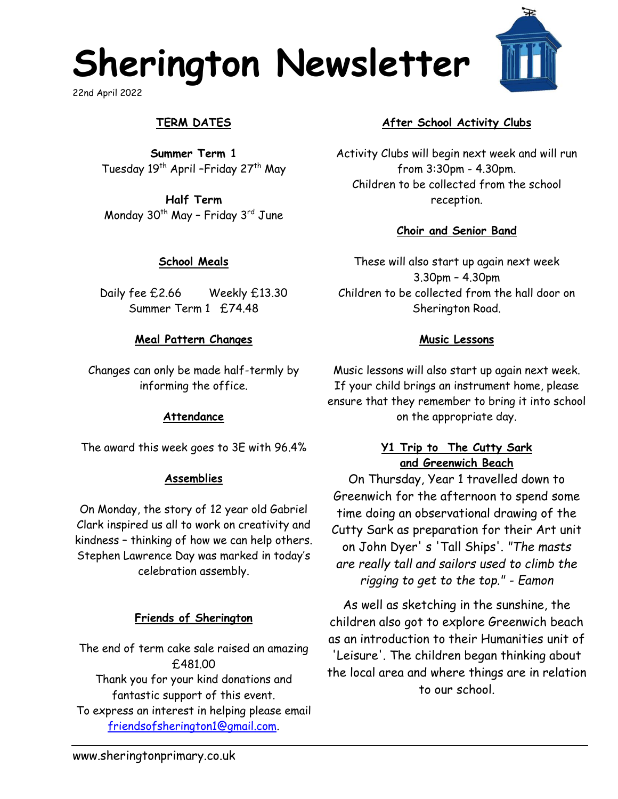# **Sherington Newsletter**

22nd April 2022

# **TERM DATES**

**Summer Term 1** Tuesday 19<sup>th</sup> April - Friday 27<sup>th</sup> May

**Half Term** Monday  $30<sup>th</sup>$  May - Friday  $3<sup>rd</sup>$  June

## **School Meals**

Daily fee £2.66 Weekly £13.30 Summer Term 1 £74.48

## **Meal Pattern Changes**

Changes can only be made half-termly by informing the office.

#### **Attendance**

The award this week goes to 3E with 96.4%

#### **Assemblies**

On Monday, the story of 12 year old Gabriel Clark inspired us all to work on creativity and kindness – thinking of how we can help others. Stephen Lawrence Day was marked in today's celebration assembly.

#### **Friends of Sherington**

The end of term cake sale raised an amazing £481.00 Thank you for your kind donations and fantastic support of this event. To express an interest in helping please email [friendsofsherington1@gmail.com.](mailto:friendsofsherington1@gmail.com)

## **After School Activity Clubs**

Activity Clubs will begin next week and will run from 3:30pm - 4.30pm. Children to be collected from the school reception.

## **Choir and Senior Band**

These will also start up again next week 3.30pm – 4.30pm Children to be collected from the hall door on Sherington Road.

#### **Music Lessons**

Music lessons will also start up again next week. If your child brings an instrument home, please ensure that they remember to bring it into school on the appropriate day.

## **Y1 Trip to The Cutty Sark and Greenwich Beach**

On Thursday, Year 1 travelled down to Greenwich for the afternoon to spend some time doing an observational drawing of the Cutty Sark as preparation for their Art unit on John Dyer' s 'Tall Ships'. *"The masts are really tall and sailors used to climb the rigging to get to the top." - Eamon*

As well as sketching in the sunshine, the children also got to explore Greenwich beach as an introduction to their Humanities unit of 'Leisure'. The children began thinking about the local area and where things are in relation to our school.